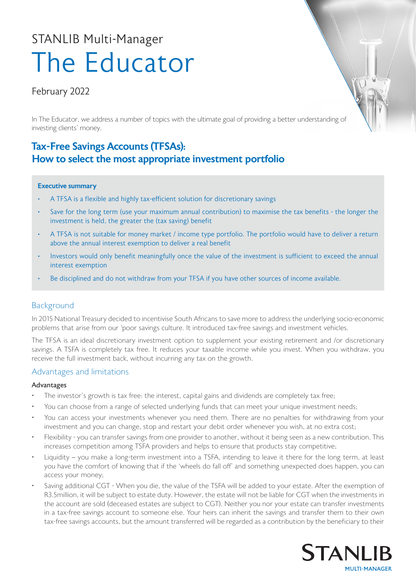# The Educator STANLIB Multi-Manager

# February 2022

In The Educator, we address a number of topics with the ultimate goal of providing a better understanding of investing clients' money.

# Tax-Free Savings Accounts (TFSAs): How to select the most appropriate investment portfolio

# Executive summary

- A TFSA is a flexible and highly tax-efficient solution for discretionary savings
- Save for the long term (use your maximum annual contribution) to maximise the tax benefits the longer the investment is held, the greater the (tax saving) benefit
- A TFSA is not suitable for money market / income type portfolio. The portfolio would have to deliver a return above the annual interest exemption to deliver a real benefit
- Investors would only benefit meaningfully once the value of the investment is sufficient to exceed the annual interest exemption
- Be disciplined and do not withdraw from your TFSA if you have other sources of income available.

# **Background**

In 2015 National Treasury decided to incentivise South Africans to save more to address the underlying socio-economic problems that arise from our <sup>1</sup>poor savings culture. It introduced tax-free savings and investment vehicles.

The TFSA is an ideal discretionary investment option to supplement your existing retirement and /or discretionary savings. A TSFA is completely tax free. It reduces your taxable income while you invest. When you withdraw, you receive the full investment back, without incurring any tax on the growth.

# Advantages and limitations

# Advantages

- The investor's growth is tax free: the interest, capital gains and dividends are completely tax free;
- You can choose from a range of selected underlying funds that can meet your unique investment needs;
- You can access your investments whenever you need them. There are no penalties for withdrawing from your investment and you can change, stop and restart your debit order whenever you wish, at no extra cost;
- Flexibility you can transfer savings from one provider to another, without it being seen as a new contribution. This increases competition among TSFA providers and helps to ensure that products stay competitive;
- Liquidity you make a long-term investment into a TSFA, intending to leave it there for the long term, at least you have the comfort of knowing that if the 'wheels do fall off' and something unexpected does happen, you can access your money;
- Saving additional CGT When you die, the value of the TSFA will be added to your estate. After the exemption of R3.5million, it will be subject to estate duty. However, the estate will not be liable for CGT when the investments in the account are sold (deceased estates are subject to CGT). Neither you nor your estate can transfer investments in a tax-free savings account to someone else. Your heirs can inherit the savings and transfer them to their own tax-free savings accounts, but the amount transferred will be regarded as a contribution by the beneficiary to their

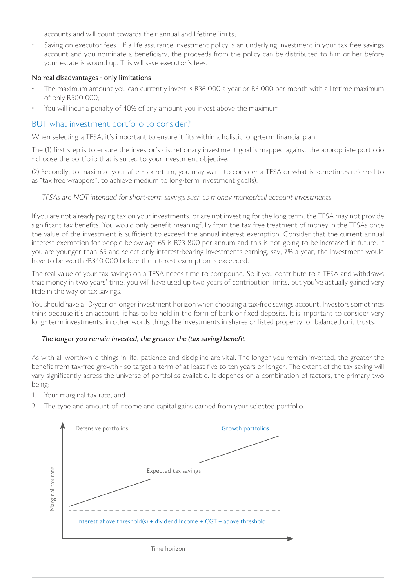accounts and will count towards their annual and lifetime limits;

Saving on executor fees - If a life assurance investment policy is an underlying investment in your tax-free savings account and you nominate a beneficiary, the proceeds from the policy can be distributed to him or her before your estate is wound up. This will save executor's fees.

#### No real disadvantages - only limitations

- The maximum amount you can currently invest is R36 000 a year or R3 000 per month with a lifetime maximum of only R500 000;
- You will incur a penalty of 40% of any amount you invest above the maximum.

# BUT what investment portfolio to consider?

When selecting a TFSA, it's important to ensure it fits within a holistic long-term financial plan.

The (1) first step is to ensure the investor's discretionary investment goal is mapped against the appropriate portfolio - choose the portfolio that is suited to your investment objective.

(2) Secondly, to maximize your after-tax return, you may want to consider a TFSA or what is sometimes referred to as "tax free wrappers", to achieve medium to long-term investment goal(s).

#### TFSAs are NOT intended for short-term savings such as money market/call account investments

If you are not already paying tax on your investments, or are not investing for the long term, the TFSA may not provide significant tax benefits. You would only benefit meaningfully from the tax-free treatment of money in the TFSAs once the value of the investment is sufficient to exceed the annual interest exemption. Consider that the current annual interest exemption for people below age 65 is R23 800 per annum and this is not going to be increased in future. If you are younger than 65 and select only interest-bearing investments earning, say, 7% a year, the investment would have to be worth <sup>2</sup>R340 000 before the interest exemption is exceeded.

The real value of your tax savings on a TFSA needs time to compound. So if you contribute to a TFSA and withdraws that money in two years' time, you will have used up two years of contribution limits, but you've actually gained very little in the way of tax savings.

You should have a 10-year or longer investment horizon when choosing a tax-free savings account. Investors sometimes think because it's an account, it has to be held in the form of bank or fixed deposits. It is important to consider very long- term investments, in other words things like investments in shares or listed property, or balanced unit trusts.

#### The longer you remain invested, the greater the (tax saving) benefit

As with all worthwhile things in life, patience and discipline are vital. The longer you remain invested, the greater the benefit from tax-free growth - so target a term of at least five to ten years or longer. The extent of the tax saving will vary significantly across the universe of portfolios available. It depends on a combination of factors, the primary two being:

- 1. Your marginal tax rate, and
- 2. The type and amount of income and capital gains earned from your selected portfolio.



Time horizon